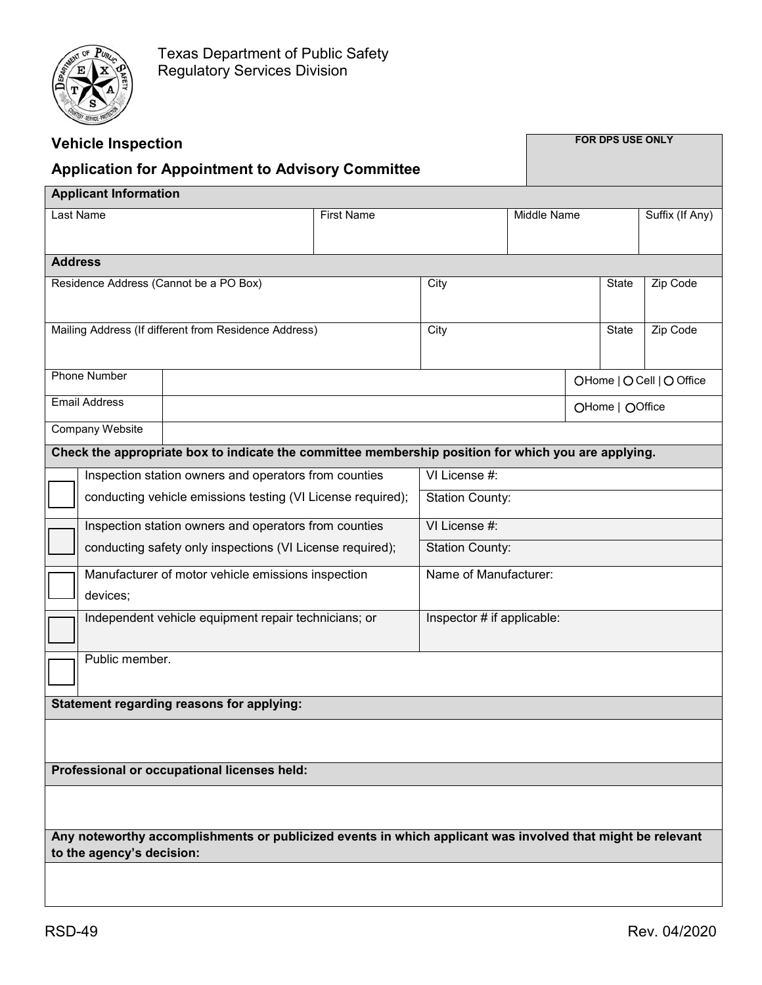

| <b>Vehicle Inspection</b>                                                                                  |                            |                        |               | FOR DPS USE ONLY          |                 |                 |  |  |
|------------------------------------------------------------------------------------------------------------|----------------------------|------------------------|---------------|---------------------------|-----------------|-----------------|--|--|
| <b>Application for Appointment to Advisory Committee</b>                                                   |                            |                        |               |                           |                 |                 |  |  |
| <b>Applicant Information</b>                                                                               |                            |                        |               |                           |                 |                 |  |  |
| Last Name                                                                                                  | <b>First Name</b>          |                        | Middle Name   |                           |                 | Suffix (If Any) |  |  |
|                                                                                                            |                            |                        |               |                           |                 |                 |  |  |
| <b>Address</b>                                                                                             |                            |                        |               |                           |                 |                 |  |  |
| Residence Address (Cannot be a PO Box)                                                                     |                            | City                   |               | State                     |                 | Zip Code        |  |  |
|                                                                                                            |                            |                        |               |                           |                 |                 |  |  |
| Mailing Address (If different from Residence Address)                                                      |                            | City                   |               | State                     |                 | Zip Code        |  |  |
|                                                                                                            |                            |                        |               |                           |                 |                 |  |  |
| <b>Phone Number</b>                                                                                        |                            |                        |               | OHome   O Cell   O Office |                 |                 |  |  |
| <b>Email Address</b>                                                                                       |                            |                        |               |                           | OHome   OOffice |                 |  |  |
| <b>Company Website</b>                                                                                     |                            |                        |               |                           |                 |                 |  |  |
| Check the appropriate box to indicate the committee membership position for which you are applying.        |                            |                        |               |                           |                 |                 |  |  |
| Inspection station owners and operators from counties                                                      |                            |                        | VI License #: |                           |                 |                 |  |  |
| conducting vehicle emissions testing (VI License required);                                                |                            | <b>Station County:</b> |               |                           |                 |                 |  |  |
| Inspection station owners and operators from counties                                                      |                            | VI License #:          |               |                           |                 |                 |  |  |
| conducting safety only inspections (VI License required);                                                  |                            | <b>Station County:</b> |               |                           |                 |                 |  |  |
| Manufacturer of motor vehicle emissions inspection                                                         |                            | Name of Manufacturer:  |               |                           |                 |                 |  |  |
| devices;                                                                                                   |                            |                        |               |                           |                 |                 |  |  |
| Independent vehicle equipment repair technicians; or                                                       | Inspector # if applicable: |                        |               |                           |                 |                 |  |  |
| Public member.                                                                                             |                            |                        |               |                           |                 |                 |  |  |
|                                                                                                            |                            |                        |               |                           |                 |                 |  |  |
| Statement regarding reasons for applying:                                                                  |                            |                        |               |                           |                 |                 |  |  |
|                                                                                                            |                            |                        |               |                           |                 |                 |  |  |
|                                                                                                            |                            |                        |               |                           |                 |                 |  |  |
| Professional or occupational licenses held:                                                                |                            |                        |               |                           |                 |                 |  |  |
|                                                                                                            |                            |                        |               |                           |                 |                 |  |  |
| Any noteworthy accomplishments or publicized events in which applicant was involved that might be relevant |                            |                        |               |                           |                 |                 |  |  |
| to the agency's decision:                                                                                  |                            |                        |               |                           |                 |                 |  |  |
|                                                                                                            |                            |                        |               |                           |                 |                 |  |  |